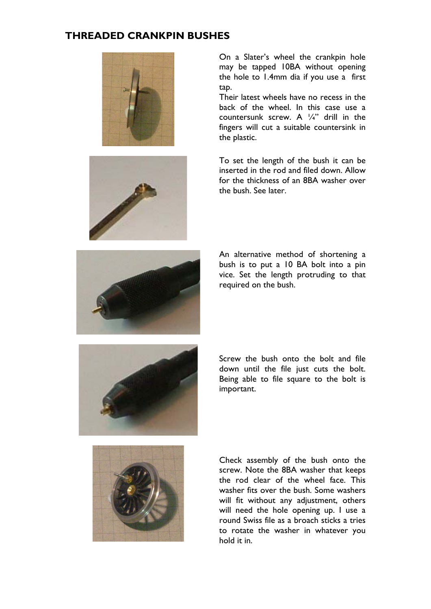## **THREADED CRANKPIN BUSHES**





On a Slater's wheel the crankpin hole may be tapped 10BA without opening the hole to 1.4mm dia if you use a first tap.

Their latest wheels have no recess in the back of the wheel. In this case use a countersunk screw. A ¼" drill in the fingers will cut a suitable countersink in the plastic.

To set the length of the bush it can be inserted in the rod and filed down. Allow for the thickness of an 8BA washer over the bush. See later.



An alternative method of shortening a bush is to put a 10 BA bolt into a pin vice. Set the length protruding to that required on the bush.



Screw the bush onto the bolt and file down until the file just cuts the bolt. Being able to file square to the bolt is important.



Check assembly of the bush onto the screw. Note the 8BA washer that keeps the rod clear of the wheel face. This washer fits over the bush. Some washers will fit without any adjustment, others will need the hole opening up. I use a round Swiss file as a broach sticks a tries to rotate the washer in whatever you hold it in.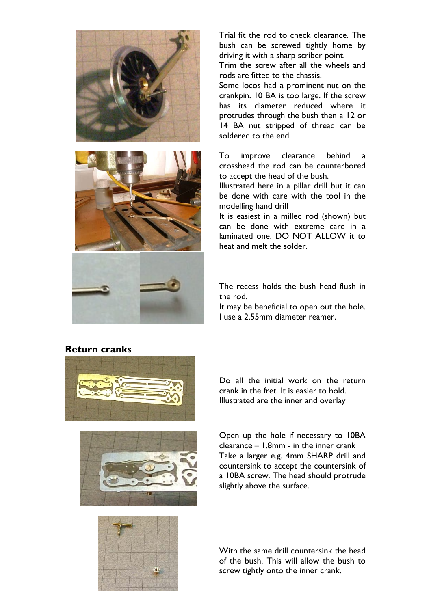



Trial fit the rod to check clearance. The bush can be screwed tightly home by driving it with a sharp scriber point.

Trim the screw after all the wheels and rods are fitted to the chassis.

Some locos had a prominent nut on the crankpin. 10 BA is too large. If the screw has its diameter reduced where it protrudes through the bush then a 12 or 14 BA nut stripped of thread can be soldered to the end.

To improve clearance behind a crosshead the rod can be counterbored to accept the head of the bush.

Illustrated here in a pillar drill but it can be done with care with the tool in the modelling hand drill

It is easiest in a milled rod (shown) but can be done with extreme care in a laminated one. DO NOT ALLOW it to heat and melt the solder.

The recess holds the bush head flush in the rod.

It may be beneficial to open out the hole. I use a 2.55mm diameter reamer.

## **Return cranks**





Do all the initial work on the return crank in the fret. It is easier to hold. Illustrated are the inner and overlay

Open up the hole if necessary to 10BA clearance – 1.8mm - in the inner crank Take a larger e.g. 4mm SHARP drill and countersink to accept the countersink of a 10BA screw. The head should protrude slightly above the surface.



With the same drill countersink the head of the bush. This will allow the bush to screw tightly onto the inner crank.